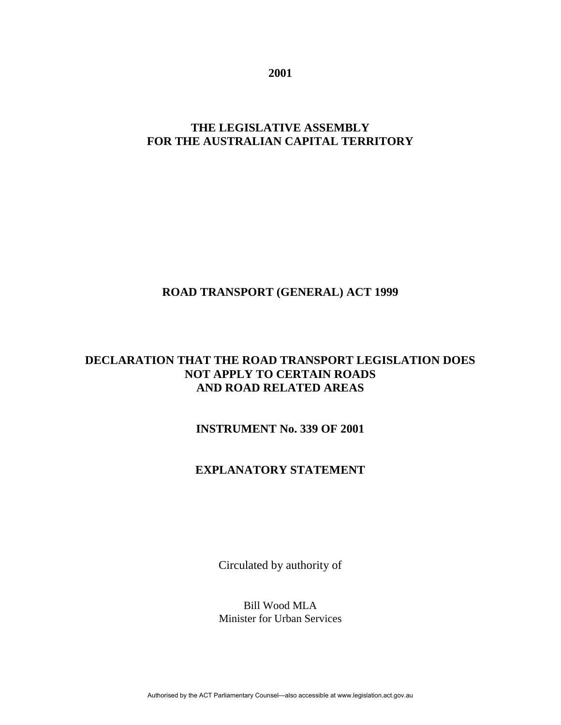**2001**

# **THE LEGISLATIVE ASSEMBLY FOR THE AUSTRALIAN CAPITAL TERRITORY**

## **ROAD TRANSPORT (GENERAL) ACT 1999**

# **DECLARATION THAT THE ROAD TRANSPORT LEGISLATION DOES NOT APPLY TO CERTAIN ROADS AND ROAD RELATED AREAS**

# **INSTRUMENT No. 339 OF 2001**

# **EXPLANATORY STATEMENT**

Circulated by authority of

Bill Wood MLA Minister for Urban Services